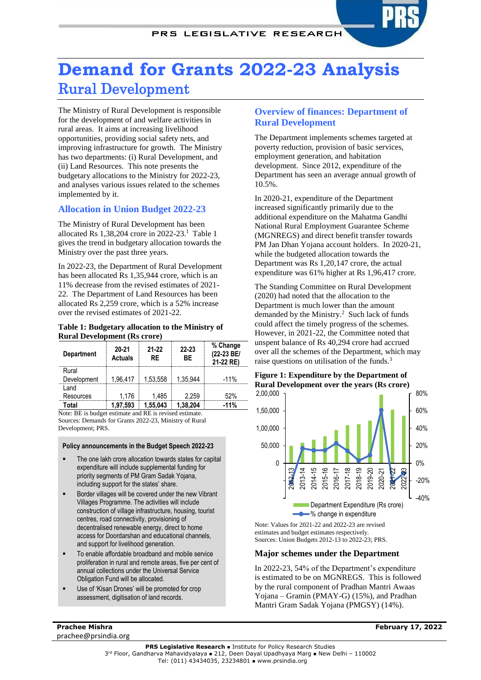# **Demand for Grants 2022-23 Analysis** Rural Development

The Ministry of Rural Development is responsible for the development of and welfare activities in rural areas. It aims at increasing livelihood opportunities, providing social safety nets, and improving infrastructure for growth. The Ministry has two departments: (i) Rural Development, and (ii) Land Resources. This note presents the budgetary allocations to the Ministry for 2022-23, and analyses various issues related to the schemes implemented by it.

# **Allocation in Union Budget 2022-23**

The Ministry of Rural Development has been allocated Rs 1,38,204 crore in 2022-23. 1 Table 1 gives the trend in budgetary allocation towards the Ministry over the past three years.

In 2022-23, the Department of Rural Development has been allocated Rs 1,35,944 crore, which is an 11% decrease from the revised estimates of 2021- 22. The Department of Land Resources has been allocated Rs 2,259 crore, which is a 52% increase over the revised estimates of 2021-22.

#### **Table 1: Budgetary allocation to the Ministry of Rural Development (Rs crore)**

| <b>Department</b>    | $20 - 21$<br><b>Actuals</b> | 21-22<br>RE | 22-23<br>ВF | % Change<br>(22-23 BE/<br>21-22 RE) |
|----------------------|-----------------------------|-------------|-------------|-------------------------------------|
| Rural<br>Development | 1,96,417                    | 1,53,558    | 1.35.944    | $-11%$                              |
| l and<br>Resources   | 1.176                       | 1.485       | 2.259       | .52%                                |
| ักtal                | 1.97.593                    | 1.55.043    | 1.38.204    | -11%                                |

Note: BE is budget estimate and RE is revised estimate. Sources: Demands for Grants 2022-23, Ministry of Rural Development; PRS.

#### **Policy announcements in the Budget Speech 2022-23**

- The one lakh crore allocation towards states for capital expenditure will include supplemental funding for priority segments of PM Gram Sadak Yojana, including support for the states' share.
- Border villages will be covered under the new Vibrant Villages Programme. The activities will include construction of village infrastructure, housing, tourist centres, road connectivity, provisioning of decentralised renewable energy, direct to home access for Doordarshan and educational channels, and support for livelihood generation.
- To enable affordable broadband and mobile service proliferation in rural and remote areas, five per cent of annual collections under the Universal Service Obligation Fund will be allocated.
- Use of 'Kisan Drones' will be promoted for crop assessment, digitisation of land records.

# **Overview of finances: Department of Rural Development**

The Department implements schemes targeted at poverty reduction, provision of basic services, employment generation, and habitation development. Since 2012, expenditure of the Department has seen an average annual growth of 10.5%.

In 2020-21, expenditure of the Department increased significantly primarily due to the additional expenditure on the Mahatma Gandhi National Rural Employment Guarantee Scheme (MGNREGS) and direct benefit transfer towards PM Jan Dhan Yojana account holders. In 2020-21, while the budgeted allocation towards the Department was Rs 1,20,147 crore, the actual expenditure was 61% higher at Rs 1,96,417 crore.

<span id="page-0-0"></span>The Standing Committee on Rural Development (2020) had noted that the allocation to the Department is much lower than the amount demanded by the Ministry.<sup>2</sup> Such lack of funds could affect the timely progress of the schemes. However, in 2021-22, the Committee noted that unspent balance of Rs 40,294 crore had accrued over all the schemes of the Department, which may raise questions on utilisation of the funds.<sup>3</sup>

# <span id="page-0-1"></span>**Figure 1: Expenditure by the Department of Rural Development over the years (Rs crore)**



Note: Values for 2021-22 and 2022-23 are revised estimates and budget estimates respectively. Sources: Union Budgets 2012-13 to 2022-23; PRS.

# **Major schemes under the Department**

In 2022-23, 54% of the Department's expenditure is estimated to be on MGNREGS. This is followed by the rural component of Pradhan Mantri Awaas Yojana – Gramin (PMAY-G) (15%), and Pradhan Mantri Gram Sadak Yojana (PMGSY) (14%).

**Prachee Mishra** prachee@prsindia.org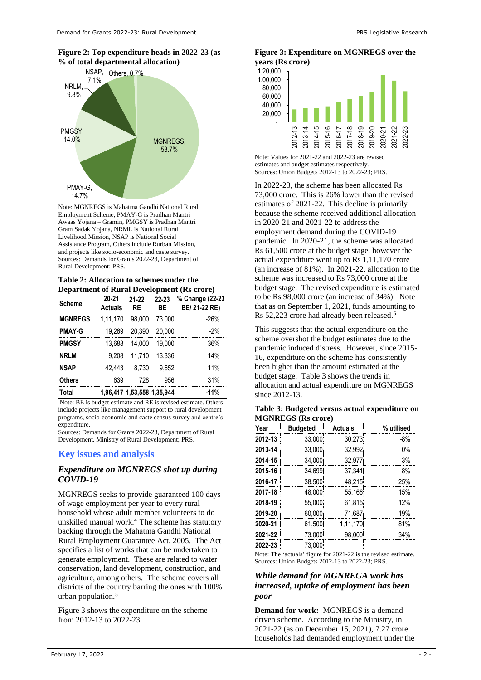

Note: MGNREGS is Mahatma Gandhi National Rural Employment Scheme, PMAY-G is Pradhan Mantri Awaas Yojana – Gramin, PMGSY is Pradhan Mantri Gram Sadak Yojana, NRML is National Rural Livelihood Mission, NSAP is National Social Assistance Program, Others include Rurban Mission, and projects like socio-economic and caste survey. Sources: Demands for Grants 2022-23, Department of Rural Development: PRS.

|  |  | Table 2: Allocation to schemes under the          |  |  |
|--|--|---------------------------------------------------|--|--|
|  |  | <b>Department of Rural Development (Rs crore)</b> |  |  |

| Department of Kural Development (KS erore) |                         |                 |                            |                                  |  |  |
|--------------------------------------------|-------------------------|-----------------|----------------------------|----------------------------------|--|--|
| <b>Scheme</b>                              | 20-21<br><b>Actuals</b> | $21 - 22$<br>RE | 22-23<br>ВE                | % Change (22-23<br>BE/ 21-22 RE) |  |  |
| <b>MGNREGS</b>                             | 1,11,170                | 98.000          | 73,000                     | -26%                             |  |  |
| <b>PMAY-G</b>                              | 19.269                  | 20.390          | 20,000                     | $-2%$                            |  |  |
| <b>PMGSY</b>                               | 13,688                  | 14.000          | 19,000                     | 36%                              |  |  |
| <b>NRLM</b>                                | 9.208                   | 11.710          | 13.336                     | 14%                              |  |  |
| <b>NSAP</b>                                | 42.443                  | 8.730           | 9.652                      | 11 <sup>%</sup>                  |  |  |
| <b>Others</b>                              | 639                     | 728             | 956                        | 31%                              |  |  |
| Total                                      |                         |                 | 1,96,417 1,53,558 1,35,944 | $-11%$                           |  |  |

Note: BE is budget estimate and RE is revised estimate. Others include projects like management support to rural development programs, socio-economic and caste census survey and centre's expenditure.

Sources: Demands for Grants 2022-23, Department of Rural Development, Ministry of Rural Development; PRS.

#### **Key issues and analysis**

#### *Expenditure on MGNREGS shot up during COVID-19*

<span id="page-1-2"></span>MGNREGS seeks to provide guaranteed 100 days of wage employment per year to every rural household whose adult member volunteers to do unskilled manual work. <sup>4</sup>The scheme has statutory backing through the Mahatma Gandhi National Rural Employment Guarantee Act, 2005. The Act specifies a list of works that can be undertaken to generate employment. These are related to water conservation, land development, construction, and agriculture, among others. The scheme covers all districts of the country barring the ones with 100% urban population.<sup>5</sup>

<span id="page-1-1"></span>Figure 3 shows the expenditure on the scheme from 2012-13 to 2022-23.

#### **Figure 3: Expenditure on MGNREGS over the years (Rs crore)**



Note: Values for 2021-22 and 2022-23 are revised estimates and budget estimates respectively. Sources: Union Budgets 2012-13 to 2022-23; PRS.

In 2022-23, the scheme has been allocated Rs 73,000 crore. This is 26% lower than the revised estimates of 2021-22. This decline is primarily because the scheme received additional allocation in 2020-21 and 2021-22 to address the employment demand during the COVID-19 pandemic. In 2020-21, the scheme was allocated Rs 61,500 crore at the budget stage, however the actual expenditure went up to Rs 1,11,170 crore (an increase of 81%). In 2021-22, allocation to the scheme was increased to Rs 73,000 crore at the budget stage. The revised expenditure is estimated to be Rs 98,000 crore (an increase of 34%). Note that as on September 1, 2021, funds amounting to Rs 52,223 crore had already been released.<sup>6</sup>

<span id="page-1-0"></span>This suggests that the actual expenditure on the scheme overshot the budget estimates due to the pandemic induced distress. However, since 2015- 16, expenditure on the scheme has consistently been higher than the amount estimated at the budget stage. Table 3 shows the trends in allocation and actual expenditure on MGNREGS since 2012-13.

|                           |  | Table 3: Budgeted versus actual expenditure on |  |
|---------------------------|--|------------------------------------------------|--|
| <b>MGNREGS</b> (Rs crore) |  |                                                |  |

| Year    | <b>Budgeted</b> | <b>Actuals</b> | % utilised |
|---------|-----------------|----------------|------------|
| 2012-13 | 33,000          | 30,273         | -8%        |
| 2013-14 | 33,000          | 32,992         | 0%         |
| 2014-15 | 34.000          | 32,977         | $-3%$      |
| 2015-16 | 34.699          | 37.341         | 8%         |
| 2016-17 | 38,500          | 48,215         | 25%        |
| 2017-18 | 48,000          | 55,166         | 15%        |
| 2018-19 | 55,000          | 61,815         | 12%        |
| 2019-20 | 60,000          | 71,687         | 19%        |
| 2020-21 | 61,500          | 1,11,170       | 81%        |
| 2021-22 | 73,000          | 98.000         | 34%        |
| 2022-23 | 73.000          |                |            |

Note: The 'actuals' figure for 2021-22 is the revised estimate. Sources: Union Budgets 2012-13 to 2022-23; PRS.

#### *While demand for MGNREGA work has increased, uptake of employment has been poor*

**Demand for work:** MGNREGS is a demand driven scheme. According to the Ministry, in 2021-22 (as on December 15, 2021), 7.27 crore households had demanded employment under the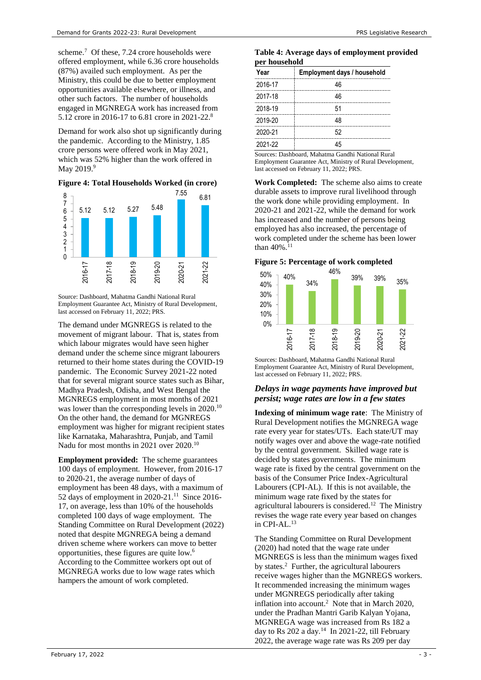scheme.<sup>7</sup> Of these, 7.24 crore households were offered employment, while 6.36 crore households (87%) availed such employment. As per the Ministry, this could be due to better employment opportunities available elsewhere, or illness, and other such factors. The number of households engaged in MGNREGA work has increased from 5.12 crore in 2016-17 to 6.81 crore in 2021-22.<sup>8</sup>

Demand for work also shot up significantly during the pandemic. According to the Ministry, 1.85 crore persons were offered work in May 2021, which was 52% higher than the work offered in May 2019.<sup>9</sup>

#### **Figure 4: Total Households Worked (in crore)**



Source: Dashboard, Mahatma Gandhi National Rural Employment Guarantee Act, Ministry of Rural Development, last accessed on February 11, 2022; PRS.

The demand under MGNREGS is related to the movement of migrant labour. That is, states from which labour migrates would have seen higher demand under the scheme since migrant labourers returned to their home states during the COVID-19 pandemic. The Economic Survey 2021-22 noted that for several migrant source states such as Bihar, Madhya Pradesh, Odisha, and West Bengal the MGNREGS employment in most months of 2021 was lower than the corresponding levels in 2020.<sup>10</sup> On the other hand, the demand for MGNREGS employment was higher for migrant recipient states like Karnataka, Maharashtra, Punjab, and Tamil Nadu for most months in 2021 over 2020.<sup>[10](#page-2-0)</sup>

**Employment provided:** The scheme guarantees 100 days of employment. However, from 2016-17 to 2020-21, the average number of days of employment has been 48 days, with a maximum of 52 days of employment in 2020-21. 11 Since 2016- 17, on average, less than 10% of the households completed 100 days of wage employment. The Standing Committee on Rural Development (2022) noted that despite MGNREGA being a demand driven scheme where workers can move to better opportunities, these figures are quite low. [6](#page-1-0) According to the Committee workers opt out of MGNREGA works due to low wage rates which hampers the amount of work completed.

|               | Table 4: Average days of employment provided |  |
|---------------|----------------------------------------------|--|
| per household |                                              |  |

| Year    | Employment days / household |
|---------|-----------------------------|
| 2016-17 | 46                          |
| 2017-18 | 46                          |
| 2018-19 | 51                          |
| 2019-20 | 48                          |
| 2020-21 | 52                          |
| 2021-22 |                             |

Sources: Dashboard, Mahatma Gandhi National Rural Employment Guarantee Act, Ministry of Rural Development, last accessed on February 11, 2022; PRS.

**Work Completed:** The scheme also aims to create durable assets to improve rural livelihood through the work done while providing employment. In 2020-21 and 2021-22, while the demand for work has increased and the number of persons being employed has also increased, the percentage of work completed under the scheme has been lower than  $40\%$ <sup>[11](#page-2-1)</sup>

#### **Figure 5: Percentage of work completed**



Sources: Dashboard, Mahatma Gandhi National Rural Employment Guarantee Act, Ministry of Rural Development, last accessed on February 11, 2022; PRS.

#### *Delays in wage payments have improved but persist; wage rates are low in a few states*

<span id="page-2-0"></span>**Indexing of minimum wage rate**: The Ministry of Rural Development notifies the MGNREGA wage rate every year for states/UTs. Each state/UT may notify wages over and above the wage-rate notified by the central government. Skilled wage rate is decided by states governments. The minimum wage rate is fixed by the central government on the basis of the Consumer Price Index-Agricultural Labourers (CPI-AL). If this is not available, the minimum wage rate fixed by the states for agricultural labourers is considered.<sup>12</sup> The Ministry revises the wage rate every year based on changes in CPI-AL.<sup>13</sup>

<span id="page-2-1"></span>The Standing Committee on Rural Development (2020) had noted that the wage rate under MGNREGS is less than the minimum wages fixed by states[.](#page-0-0)<sup>2</sup> Further, the agricultural labourers receive wages higher than the MGNREGS workers. It recommended increasing the minimum wages under MGNREGS periodically after taking inflation into account[.](#page-0-0)<sup>2</sup> Note that in March 2020, under the Pradhan Mantri Garib Kalyan Yojana, MGNREGA wage was increased from Rs 182 a day to Rs  $202$  a day.<sup>14</sup> In 2021-22, till February 2022, the average wage rate was Rs 209 per day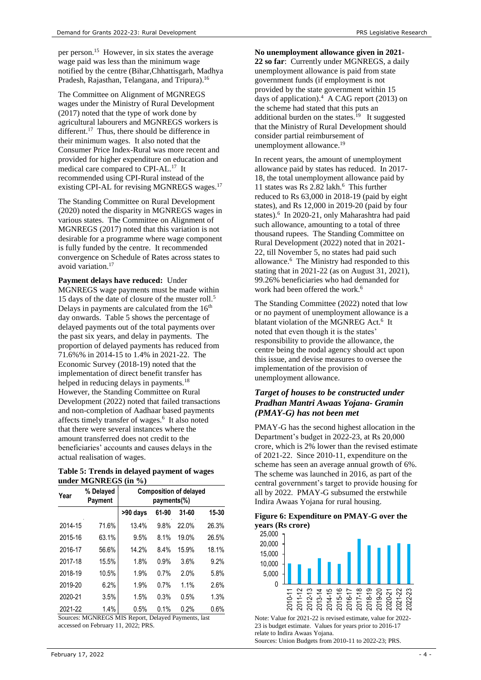per person.<sup>15</sup> However, in six states the average wage paid was less than the minimum wage notified by the centre (Bihar,Chhattisgarh, Madhya Pradesh, Rajasthan, Telangana, and Tripura). 16

The Committee on Alignment of MGNREGS wages under the Ministry of Rural Development (2017) noted that the type of work done by agricultural labourers and MGNREGS workers is different.<sup>[17](#page-3-0)</sup> Thus, there should be difference in their minimum wages. It also noted that the Consumer Price Index-Rural was more recent and provided for higher expenditure on education and medical care compared to CPI-AL.<sup>[17](#page-3-0)</sup> It recommended using CPI-Rural instead of the existing CPI-AL for revising MGNREGS wages.<sup>17</sup>

The Standing Committee on Rural Development (2020) noted the disparity in MGNREGS wages in various states. The Committee on Alignment of MGNREGS (2017) noted that this variation is not desirable for a programme where wage component is fully funded by the centre. It recommended convergence on Schedule of Rates across states to avoid variation.[17](#page-3-0) 

#### **Payment delays have reduced:** Under

MGNREGS wage payments must be made within 1[5](#page-1-1) days of the date of closure of the muster roll.<sup>5</sup> Delays in payments are calculated from the 16<sup>th</sup> day onwards. Table 5 shows the percentage of delayed payments out of the total payments over the past six years, and delay in payments. The proportion of delayed payments has reduced from 71.6%% in 2014-15 to 1.4% in 2021-22. The Economic Survey (2018-19) noted that the implementation of direct benefit transfer has helped in reducing delays in payments.<sup>18</sup> However, the Standing Committee on Rural Development (2022) noted that failed transactions and non-completion of Aadhaar based payments affects timely transfer of wages[.](#page-1-0)<sup>6</sup> It also noted that there were several instances where the amount transferred does not credit to the beneficiaries' accounts and causes delays in the actual realisation of wages.

#### **Table 5: Trends in delayed payment of wages under MGNREGS (in %)**

| Year    | % Delayed<br>Payment | <b>Composition of delayed</b><br>payments(%) |       |       |       |  |
|---------|----------------------|----------------------------------------------|-------|-------|-------|--|
|         |                      | >90 days                                     | 61-90 | 31-60 | 15-30 |  |
| 2014-15 | 71.6%                | 13.4%                                        | 9.8%  | 22.0% | 26.3% |  |
| 2015-16 | 63.1%                | 9.5%                                         | 8.1%  | 19.0% | 26.5% |  |
| 2016-17 | 56.6%                | 14.2%                                        | 8.4%  | 15.9% | 18.1% |  |
| 2017-18 | 15.5%                | 1.8%                                         | 0.9%  | 3.6%  | 9.2%  |  |
| 2018-19 | 10.5%                | 1.9%                                         | 0.7%  | 2.0%  | 5.8%  |  |
| 2019-20 | 6.2%                 | 1.9%                                         | 0.7%  | 1.1%  | 2.6%  |  |
| 2020-21 | 3.5%                 | 1.5%                                         | 0.3%  | 0.5%  | 1.3%  |  |
| 2021-22 | 1.4%                 | 0.5%                                         | 0.1%  | 0.2%  | 0.6%  |  |

Sources: MGNREGS MIS Report, Delayed Payments, last accessed on February 11, 2022; PRS.

**No unemployment allowance given in 2021- 22 so far**: Currently under MGNREGS, a daily unemployment allowance is paid from state government funds (if employment is not provided by the state government within 15 days of application)[.](#page-1-2) <sup>4</sup> A CAG report (2013) on the scheme had stated that this puts an additional burden on the states. $19$  It suggested that the Ministry of Rural Development should consider partial reimbursement of unemployment allowance.<sup>[19](#page-3-1)</sup>

<span id="page-3-1"></span><span id="page-3-0"></span>In recent years, the amount of unemployment allowance paid by states has reduced. In 2017- 18, the total unemployment allowance paid by 11states was Rs 2.82 lakh.<sup>6</sup> This further reduced to Rs 63,000 in 2018-19 (paid by eight states), and Rs 12,000 in 2019-20 (paid by four states)[.](#page-1-0)<sup>6</sup> In 2020-21, only Maharashtra had paid such allowance, amounting to a total of three thousand rupees. The Standing Committee on Rural Development (2022) noted that in 2021- 22, till November 5, no states had paid such allowance. 6 The Ministry had responded to this stating that in 2021-22 (as on August 31, 2021), 99.26% beneficiaries who had demanded for work had been offered the work.<sup>[6](#page-1-0)</sup>

The Standing Committee (2022) noted that low or no payment of unemployment allowance is a blatant violation of the MGNREG Act[.](#page-1-0)<sup>6</sup> It noted that even though it is the states' responsibility to provide the allowance, the centre being the nodal agency should act upon this issue, and devise measures to oversee the implementation of the provision of unemployment allowance.

# *Target of houses to be constructed under Pradhan Mantri Awaas Yojana- Gramin (PMAY-G) has not been met*

PMAY-G has the second highest allocation in the Department's budget in 2022-23, at Rs 20,000 crore, which is 2% lower than the revised estimate of 2021-22. Since 2010-11, expenditure on the scheme has seen an average annual growth of 6%. The scheme was launched in 2016, as part of the central government's target to provide housing for all by 2022. PMAY-G subsumed the erstwhile Indira Awaas Yojana for rural housing.

#### **Figure 6: Expenditure on PMAY-G over the years (Rs crore)**



Note: Value for 2021-22 is revised estimate, value for 2022- 23 is budget estimate. Values for years prior to 2016-17 relate to Indira Awaas Yojana. Sources: Union Budgets from 2010-11 to 2022-23; PRS.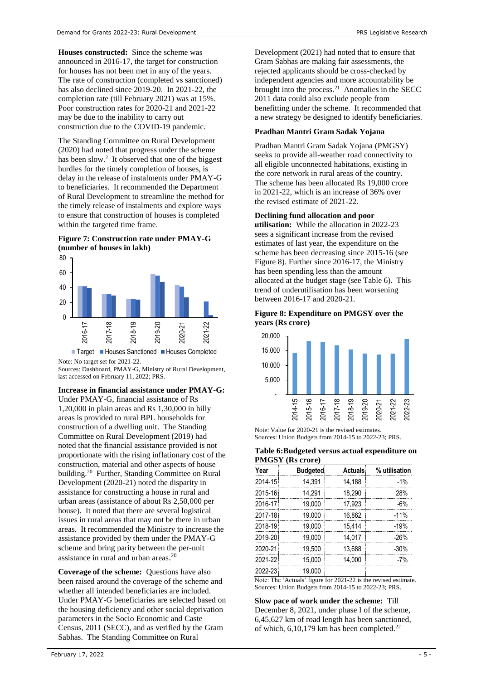**Houses constructed:** Since the scheme was announced in 2016-17, the target for construction for houses has not been met in any of the years. The rate of construction (completed vs sanctioned) has also declined since 2019-20. In 2021-22, the completion rate (till February 2021) was at 15%. Poor construction rates for 2020-21 and 2021-22 may be due to the inability to carry out construction due to the COVID-19 pandemic.

The Standing Committee on Rural Development (2020) had noted that progress under the scheme has been slo[w.](#page-0-0) 2 It observed that one of the biggest hurdles for the timely completion of houses, is delay in the release of instalments under PMAY-G to beneficiaries. It recommended the Department of Rural Development to streamline the method for the timely release of instalments and explore ways to ensure that construction of houses is completed within the targeted time frame.

# **Figure 7: Construction rate under PMAY-G (number of houses in lakh)**



Note: No target set for 2021-22. Sources: Dashboard, PMAY-G, Ministry of Rural Development, last accessed on February 11, 2022; PRS.

# **Increase in financial assistance under PMAY-G:**

<span id="page-4-0"></span>Under PMAY-G, financial assistance of Rs 1,20,000 in plain areas and Rs 1,30,000 in hilly areas is provided to rural BPL households for construction of a dwelling unit. The Standing Committee on Rural Development (2019) had noted that the financial assistance provided is not proportionate with the rising inflationary cost of the construction, material and other aspects of house building.<sup>20</sup> Further, Standing Committee on Rural Development (2020-21) noted the disparity in assistance for constructing a house in rural and urban areas (assistance of about Rs 2,50,000 per house). It noted that there are several logistical issues in rural areas that may not be there in urban areas. It recommended the Ministry to increase the assistance provided by them under the PMAY-G scheme and bring parity between the per-unit assistance in rural and urban areas. [20](#page-4-0)

**Coverage of the scheme:** Questions have also been raised around the coverage of the scheme and whether all intended beneficiaries are included. Under PMAY-G beneficiaries are selected based on the housing deficiency and other social deprivation parameters in the Socio Economic and Caste Census, 2011 (SECC), and as verified by the Gram Sabhas. The Standing Committee on Rural

Development (2021) had noted that to ensure that Gram Sabhas are making fair assessments, the rejected applicants should be cross-checked by independent agencies and more accountability be brought into the process.<sup>21</sup> Anomalies in the SECC 2011 data could also exclude people from benefitting under the scheme. It recommended that a new strategy be designed to identify beneficiaries.

#### **Pradhan Mantri Gram Sadak Yojana**

Pradhan Mantri Gram Sadak Yojana (PMGSY) seeks to provide all-weather road connectivity to all eligible unconnected habitations, existing in the core network in rural areas of the country. The scheme has been allocated Rs 19,000 crore in 2021-22, which is an increase of 36% over the revised estimate of 2021-22.

#### **Declining fund allocation and poor**

**utilisation:** While the allocation in 2022-23 sees a significant increase from the revised estimates of last year, the expenditure on the scheme has been decreasing since 2015-16 (see Figure 8). Further since 2016-17, the Ministry has been spending less than the amount allocated at the budget stage (see Table 6). This trend of underutilisation has been worsening between 2016-17 and 2020-21.

#### **Figure 8: Expenditure on PMGSY over the years (Rs crore)**



Note: Value for 2020-21 is the revised estimates. Sources: Union Budgets from 2014-15 to 2022-23; PRS.

#### **Table 6:Budgeted versus actual expenditure on PMGSY (Rs crore)**

| Year    | <b>Budgeted</b> | <b>Actuals</b> | % utilisation |
|---------|-----------------|----------------|---------------|
| 2014-15 | 14.391          | 14.188         | $-1%$         |
| 2015-16 | 14.291          | 18.290         | 28%           |
| 2016-17 | 19.000          | 17.923         | -6%           |
| 2017-18 | 19.000          | 16.862         | $-11%$        |
| 2018-19 | 19.000          | 15.414         | $-19%$        |
| 2019-20 | 19.000          | 14.017         | -26%          |
| 2020-21 | 19.500          | 13.688         | $-30%$        |
| 2021-22 | 15.000          | 14.000         | $-7%$         |
| 2022-23 | 19.000          |                |               |

Note: The 'Actuals' figure for 2021-22 is the revised estimate. Sources: Union Budgets from 2014-15 to 2022-23; PRS.

<span id="page-4-1"></span>**Slow pace of work under the scheme:** Till December 8, 2021, under phase I of the scheme, 6,45,627 km of road length has been sanctioned, of which,  $6,10,179$  km has been completed.<sup>22</sup>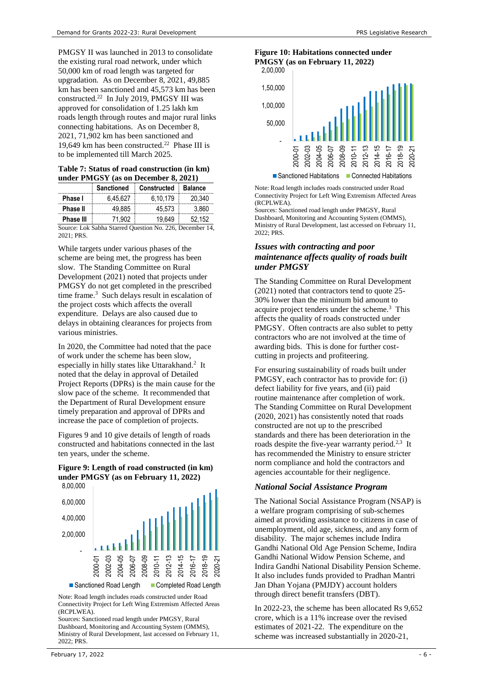PMGSY II was launched in 2013 to consolidate the existing rural road network, under which 50,000 km of road length was targeted for upgradation. As on December 8, 2021, 49,885 km has been sanctioned and 45,573 km has been constructed.<sup>[22](#page-4-1)</sup> In July 2019, PMGSY III was approved for consolidation of 1.25 lakh km roads length through routes and major rural links connecting habitations. As on December 8, 2021, 71,902 km has been sanctioned and 19,649 km has been constructed.<sup>[22](#page-4-1)</sup> Phase III is to be implemented till March 2025.

# **Table 7: Status of road construction (in km) under PMGSY (as on December 8, 2021)**

|                  | <b>Sanctioned</b> | <b>Constructed</b>                                      | <b>Balance</b> |
|------------------|-------------------|---------------------------------------------------------|----------------|
| Phase I          | 6.45.627          | 6.10.179                                                | 20.340         |
| <b>Phase II</b>  | 49.885            | 45.573                                                  | 3.860          |
| <b>Phase III</b> | 71.902.           | 19.649                                                  | 52.152         |
|                  |                   | Source: Lok Sabba Starred Question No. 226, December 14 |                |

Source: Lok Sabha Starred Question No. 226, December 14, 2021; PRS.

While targets under various phases of the scheme are being met, the progress has been slow. The Standing Committee on Rural Development (2021) noted that projects under PMGSY do not get completed in the prescribed timeframe.<sup>3</sup> Such delays result in escalation of the project costs which affects the overall expenditure. Delays are also caused due to delays in obtaining clearances for projects from various ministries.

In 2020, the Committee had noted that the pace of work under the scheme has been slow, especially in hilly states like Uttarakhand[.](#page-0-0)<sup>2</sup> It noted that the delay in approval of Detailed Project Reports (DPRs) is the main cause for the slow pace of the scheme. It recommended that the Department of Rural Development ensure timely preparation and approval of DPRs and increase the pace of completion of projects.

Figures 9 and 10 give details of length of roads constructed and habitations connected in the last ten years, under the scheme.

# **Figure 9: Length of road constructed (in km) under PMGSY (as on February 11, 2022)**



Note: Road length includes roads constructed under Road

Connectivity Project for Left Wing Extremism Affected Areas (RCPLWEA).

Sources: Sanctioned road length under PMGSY, Rural Dashboard, Monitoring and Accounting System (OMMS), Ministry of Rural Development, last accessed on February 11, 2022; PRS.

# **Figure 10: Habitations connected under PMGSY (as on February 11, 2022)**



Note: Road length includes roads constructed under Road Connectivity Project for Left Wing Extremism Affected Areas (RCPLWEA).

Sources: Sanctioned road length under PMGSY, Rural Dashboard, Monitoring and Accounting System (OMMS), Ministry of Rural Development, last accessed on February 11, 2022; PRS.

### *Issues with contracting and poor maintenance affects quality of roads built under PMGSY*

The Standing Committee on Rural Development (2021) noted that contractors tend to quote 25- 30% lower than the minimum bid amount to acquireproject tenders under the scheme.<sup>3</sup> This affects the quality of roads constructed under PMGSY. Often contracts are also sublet to petty contractors who are not involved at the time of awarding bids. This is done for further costcutting in projects and profiteering.

For ensuring sustainability of roads built under PMGSY, each contractor has to provide for: (i) defect liability for five years, and (ii) paid routine maintenance after completion of work. The Standing Committee on Rural Development (2020, 2021) has consistently noted that roads constructed are not up to the prescribed standards and there has been deterioration in the roads despite the five-year warranty period.<sup>[2,](#page-0-0)[3](#page-0-1)</sup> It has recommended the Ministry to ensure stricter norm compliance and hold the contractors and agencies accountable for their negligence.

# *National Social Assistance Program*

The National Social Assistance Program (NSAP) is a welfare program comprising of sub-schemes aimed at providing assistance to citizens in case of unemployment, old age, sickness, and any form of disability. The major schemes include Indira Gandhi National Old Age Pension Scheme, Indira Gandhi National Widow Pension Scheme, and Indira Gandhi National Disability Pension Scheme. It also includes funds provided to Pradhan Mantri Jan Dhan Yojana (PMJDY) account holders through direct benefit transfers (DBT).

In 2022-23, the scheme has been allocated Rs 9,652 crore, which is a 11% increase over the revised estimates of 2021-22. The expenditure on the scheme was increased substantially in 2020-21,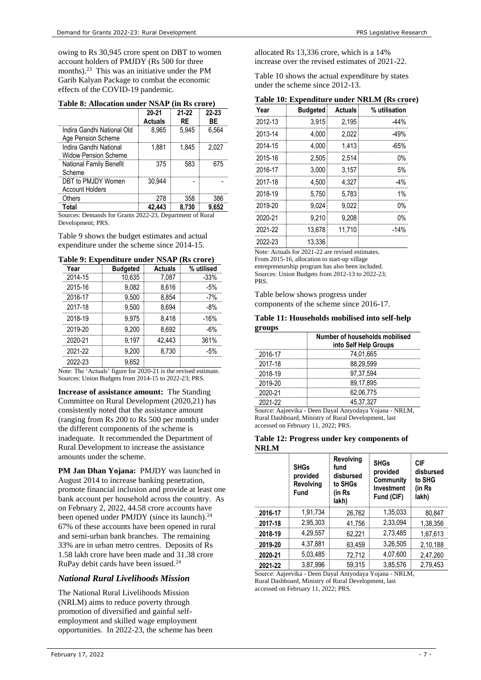owing to Rs 30,945 crore spent on DBT to women account holders of PMJDY (Rs 500 for three months). 23 This was an initiative under the PM Garib Kalyan Package to combat the economic effects of the COVID-19 pandemic.

|  | Table 8: Allocation under NSAP (in Rs crore) |  |  |  |  |
|--|----------------------------------------------|--|--|--|--|
|--|----------------------------------------------|--|--|--|--|

|                                                       | $20 - 21$<br><b>Actuals</b> | 21-22<br>RF | 22-23<br>ВF |
|-------------------------------------------------------|-----------------------------|-------------|-------------|
| Indira Gandhi National Old<br>Age Pension Scheme      | 8.965                       | 5.945       | 6.564       |
| Indira Gandhi National<br><b>Widow Pension Scheme</b> | 1.881                       | 1.845       | 2.027       |
| National Family Benefit<br>Scheme                     | 375                         | 583         | 675         |
| DBT to PMJDY Women<br><b>Account Holders</b>          | 30.944                      |             |             |
| Others                                                | 278                         | 358         | 386         |
| Total                                                 |                             | 8.730       | 9.652       |

Sources: Demands for Grants 2022-23, Department of Rural Development; PRS.

Table 9 shows the budget estimates and actual expenditure under the scheme since 2014-15.

| <b>Budgeted</b> | <b>Actuals</b> | % utilised |
|-----------------|----------------|------------|
| 10,635          | 7.087          | -33%       |
| 9.082           | 8.616          | -5%        |
| 9.500           | 8.854          | -7%        |
| 9.500           | 8.694          | -8%        |
| 9.975           | 8.418          | -16%       |
| 9.200           | 8.692          | -6%        |
| 9.197           | 42.443         | 361%       |
| 9.200           | 8.730          | -5%        |
| 9.652           |                |            |
|                 |                |            |

**Table 9: Expenditure under NSAP (Rs crore)**

Note: The 'Actuals' figure for 2020-21 is the revised estimate. Sources: Union Budgets from 2014-15 to 2022-23; PRS.

**Increase of assistance amount:** The Standing Committee on Rural Development (2020,21) has consistently noted that the assistance amount (ranging from Rs 200 to Rs 500 per month) under the different components of the scheme is inadequate. It recommended the Department of Rural Development to increase the assistance amounts under the scheme.

**PM Jan Dhan Yojana:** PMJDY was launched in August 2014 to increase banking penetration, promote financial inclusion and provide at least one bank account per household across the country. As on February 2, 2022, 44.58 crore accounts have been opened under PMJDY (since its launch).<sup>24</sup> 67% of these accounts have been opened in rural and semi-urban bank branches. The remaining 33% are in urban metro centres. Deposits of Rs 1.58 lakh crore have been made and 31.38 crore RuPay debit cards have been issued. [24](#page-6-0)

# *National Rural Livelihoods Mission*

The National Rural Livelihoods Mission (NRLM) aims to reduce poverty through promotion of diversified and gainful selfemployment and skilled wage employment opportunities. In 2022-23, the scheme has been

allocated Rs 13,336 crore, which is a 14% increase over the revised estimates of 2021-22.

Table 10 shows the actual expenditure by states under the scheme since 2012-13.

|  |  | Table 10: Expenditure under NRLM (Rs crore) |  |  |  |  |
|--|--|---------------------------------------------|--|--|--|--|
|--|--|---------------------------------------------|--|--|--|--|

| Year    | <b>Budgeted</b> | <b>Actuals</b> | % utilisation |
|---------|-----------------|----------------|---------------|
| 2012-13 | 3.915           | 2.195          | $-44%$        |
| 2013-14 | 4.000           | 2.022          | $-49%$        |
| 2014-15 | 4.000           | 1.413          | -65%          |
| 2015-16 | 2.505           | 2.514          | 0%            |
| 2016-17 | 3.000           | 3.157          | 5%            |
| 2017-18 | 4.500           | 4.327          | $-4%$         |
| 2018-19 | 5.750           | 5.783          | $1\%$         |
| 2019-20 | 9.024           | 9.022          | በ%            |
| 2020-21 | 9.210           | 9.208          | $0\%$         |
| 2021-22 | 13,678          | 11.710         | $-14%$        |
| 2022-23 | 13.336          |                |               |

Note: Actuals for 2021-22 are revised estimates.

From 2015-16, allocation to start-up village entrepreneurship program has also been included. Sources: Union Budgets from 2012-13 to 2022-23; PRS.

Table below shows progress under components of the scheme since 2016-17.

#### **Table 11: Households mobilised into self-help groups**

|         | Number of households mobilised<br>into Self Help Groups |
|---------|---------------------------------------------------------|
| 2016-17 | 74.01.665                                               |
| 2017-18 | 88.29.599                                               |
| 2018-19 | 97.37.594                                               |
| 2019-20 | 89,17,895                                               |
| 2020-21 | 62,06,775                                               |
| 2021-22 | 45.37.327                                               |

Source: Aajeevika - Deen Dayal Antyodaya Yojana - NRLM, Rural Dashboard, Ministry of Rural Development, last accessed on February 11, 2022; PRS.

#### **Table 12: Progress under key components of NRLM**

|         | <b>SHGs</b><br>provided<br>Revolving<br>Fund | Revolving<br>fund<br>disbursed<br>to SHGs<br>(in Rs<br>lakh) | <b>SHGs</b><br>provided<br>Community<br>Investment<br>Fund (CIF) | CIF<br>disbursed<br>to SHG<br>(in Rs<br>lakh) |
|---------|----------------------------------------------|--------------------------------------------------------------|------------------------------------------------------------------|-----------------------------------------------|
| 2016-17 | 1.91.734                                     | 26.762                                                       | 1.35.033                                                         | 80.847                                        |
| 2017-18 | 2.95.303                                     | 41,756                                                       | 2.33.094                                                         | 1,38,356                                      |
| 2018-19 | 4.29.557                                     | 62,221                                                       | 2,73,485                                                         | 1.67.613                                      |
| 2019-20 | 4.37.881                                     | 63,459                                                       | 3.26.505                                                         | 2,10,188                                      |
| 2020-21 | 5.03.485                                     | 72,712                                                       | 4.07.600                                                         | 2,47,260                                      |
| 2021-22 | 3.87.996                                     | 59.315                                                       | 3.85.576                                                         | 2.79.453                                      |

<span id="page-6-0"></span>Source: Aajeevika - Deen Dayal Antyodaya Yojana - NRLM, Rural Dashboard, Ministry of Rural Development, last accessed on February 11, 2022; PRS.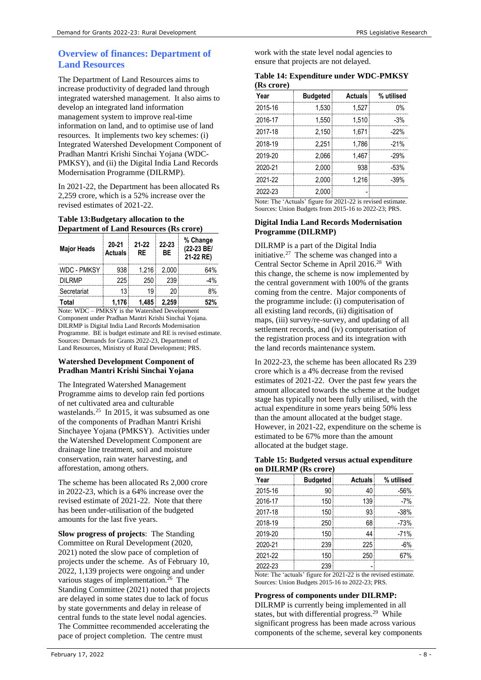# **Overview of finances: Department of Land Resources**

The Department of Land Resources aims to increase productivity of degraded land through integrated watershed management. It also aims to develop an integrated land information management system to improve real-time information on land, and to optimise use of land resources. It implements two key schemes: (i) Integrated Watershed Development Component of Pradhan Mantri Krishi Sinchai Yojana (WDC-PMKSY), and (ii) the Digital India Land Records Modernisation Programme (DILRMP).

In 2021-22, the Department has been allocated Rs 2,259 crore, which is a 52% increase over the revised estimates of 2021-22.

#### **Table 13:Budgetary allocation to the Department of Land Resources (Rs crore)**

| <b>Major Heads</b> | 20-21<br><b>Actuals</b> | 21-22<br>RF | 22-23<br>BE | % Change<br>(22-23 BE/<br>21-22 RE) |
|--------------------|-------------------------|-------------|-------------|-------------------------------------|
| <b>WDC - PMKSY</b> | 938                     | 1.216       | 2.000       | 64%                                 |
| DII RMP            | 225                     | 250         | 239         | -4%                                 |
| Secretariat        | 13                      | 19          |             | 8%                                  |
| Total              | 1.176                   | 1.485       | 2.259       |                                     |

Note: WDC – PMKSY is the Watershed Development Component under Pradhan Mantri Krishi Sinchai Yojana. DILRMP is Digital India Land Records Modernisation Programme. BE is budget estimate and RE is revised estimate. Sources: Demands for Grants 2022-23, Department of Land Resources, Ministry of Rural Development; PRS.

#### **Watershed Development Component of Pradhan Mantri Krishi Sinchai Yojana**

The Integrated Watershed Management Programme aims to develop rain fed portions of net cultivated area and culturable wastelands. 25 In 2015, it was subsumed as one of the components of Pradhan Mantri Krishi Sinchayee Yojana (PMKSY). Activities under the Watershed Development Component are drainage line treatment, soil and moisture conservation, rain water harvesting, and afforestation, among others.

The scheme has been allocated Rs 2,000 crore in 2022-23, which is a 64% increase over the revised estimate of 2021-22. Note that there has been under-utilisation of the budgeted amounts for the last five years.

**Slow progress of projects**: The Standing Committee on Rural Development (2020, 2021) noted the slow pace of completion of projects under the scheme. As of February 10, 2022, 1,139 projects were ongoing and under various stages of implementation.<sup>26</sup> The Standing Committee (2021) noted that projects are delayed in some states due to lack of focus by state governments and delay in release of central funds to the state level nodal agencies. The Committee recommended accelerating the pace of project completion. The centre must

work with the state level nodal agencies to ensure that projects are not delayed.

|            | Table 14: Expenditure under WDC-PMKSY |  |
|------------|---------------------------------------|--|
| (Rs crore) |                                       |  |

| Year    | <b>Budgeted</b> | <b>Actuals</b> | % utilised |
|---------|-----------------|----------------|------------|
| 2015-16 | 1.530           | 1.527          | በ%         |
| 2016-17 | 1.550           | 1.510          | $-3%$      |
| 2017-18 | 2.150           | 1.671          | $-22%$     |
| 2018-19 | 2.251           | 1.786          | $-21%$     |
| 2019-20 | 2.066           | 1.467          | $-29%$     |
| 2020-21 | 2.000           | 938            | $-53%$     |
| 2021-22 | 2.000           | 1.216          | $-39%$     |
| 2022-23 | 2.000           |                |            |

Note: The 'Actuals' figure for 2021-22 is revised estimate. Sources: Union Budgets from 2015-16 to 2022-23; PRS.

#### **Digital India Land Records Modernisation Programme (DILRMP)**

DILRMP is a part of the Digital India initiative. $27$  The scheme was changed into a Central Sector Scheme in April 2016.<sup>28</sup> With this change, the scheme is now implemented by the central government with 100% of the grants coming from the centre. Major components of the programme include: (i) computerisation of all existing land records, (ii) digitisation of maps, (iii) survey/re-survey, and updating of all settlement records, and (iv) computerisation of the registration process and its integration with the land records maintenance system.

In 2022-23, the scheme has been allocated Rs 239 crore which is a 4% decrease from the revised estimates of 2021-22. Over the past few years the amount allocated towards the scheme at the budget stage has typically not been fully utilised, with the actual expenditure in some years being 50% less than the amount allocated at the budget stage. However, in 2021-22, expenditure on the scheme is estimated to be 67% more than the amount allocated at the budget stage.

#### **Table 15: Budgeted versus actual expenditure on DILRMP (Rs crore)**

| Year    | <b>Budgeted</b> | <b>Actuals</b> | % utilised |  |  |
|---------|-----------------|----------------|------------|--|--|
| 2015-16 | ۹N              |                | -56%       |  |  |
| 2016-17 | 150             | 139            | $-7%$      |  |  |
| 2017-18 | 150             | qз             | -38%       |  |  |
| 2018-19 | 250             | 68             | $-73%$     |  |  |
| 2019-20 | 150             |                | $-71%$     |  |  |
| 2020-21 | 239             | 225            | -6%        |  |  |
| 2021-22 | 150             | 250            |            |  |  |
| 2022-23 |                 |                |            |  |  |

Note: The 'actuals' figure for 2021-22 is the revised estimate. Sources: Union Budgets 2015-16 to 2022-23; PRS.

# **Progress of components under DILRMP:**

<span id="page-7-0"></span>DILRMP is currently being implemented in all states, but with differential progress.<sup>29</sup> While significant progress has been made across various components of the scheme, several key components